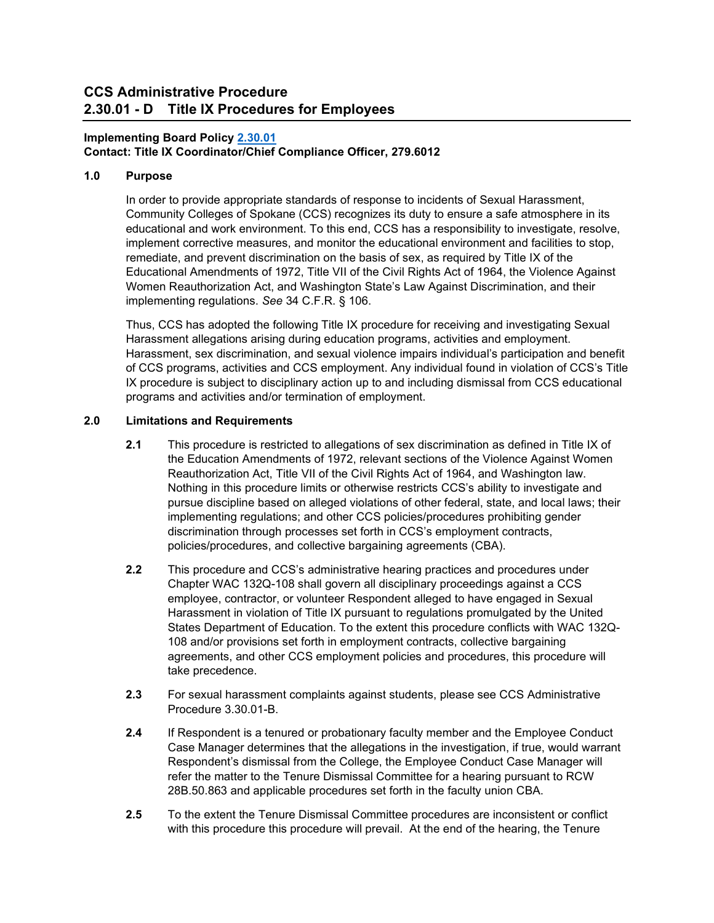# **Implementing Board Policy [2.30.01](https://ccs.spokane.edu/About-Us/Leadership/Board-of-Trustees/Policies-Procedures/Chapter2#AccWE2-7)**

# **Contact: Title IX Coordinator/Chief Compliance Officer, 279.6012**

## **1.0 Purpose**

In order to provide appropriate standards of response to incidents of Sexual Harassment, Community Colleges of Spokane (CCS) recognizes its duty to ensure a safe atmosphere in its educational and work environment. To this end, CCS has a responsibility to investigate, resolve, implement corrective measures, and monitor the educational environment and facilities to stop, remediate, and prevent discrimination on the basis of sex, as required by Title IX of the Educational Amendments of 1972, Title VII of the Civil Rights Act of 1964, the Violence Against Women Reauthorization Act, and Washington State's Law Against Discrimination, and their implementing regulations. *See* 34 C.F.R. § 106.

Thus, CCS has adopted the following Title IX procedure for receiving and investigating Sexual Harassment allegations arising during education programs, activities and employment. Harassment, sex discrimination, and sexual violence impairs individual's participation and benefit of CCS programs, activities and CCS employment. Any individual found in violation of CCS's Title IX procedure is subject to disciplinary action up to and including dismissal from CCS educational programs and activities and/or termination of employment.

## **2.0 Limitations and Requirements**

- **2.1** This procedure is restricted to allegations of sex discrimination as defined in Title IX of the Education Amendments of 1972, relevant sections of the Violence Against Women Reauthorization Act, Title VII of the Civil Rights Act of 1964, and Washington law. Nothing in this procedure limits or otherwise restricts CCS's ability to investigate and pursue discipline based on alleged violations of other federal, state, and local laws; their implementing regulations; and other CCS policies/procedures prohibiting gender discrimination through processes set forth in CCS's employment contracts, policies/procedures, and collective bargaining agreements (CBA).
- **2.2** This procedure and CCS's administrative hearing practices and procedures under Chapter WAC 132Q-108 shall govern all disciplinary proceedings against a CCS employee, contractor, or volunteer Respondent alleged to have engaged in Sexual Harassment in violation of Title IX pursuant to regulations promulgated by the United States Department of Education. To the extent this procedure conflicts with WAC 132Q-108 and/or provisions set forth in employment contracts, collective bargaining agreements, and other CCS employment policies and procedures, this procedure will take precedence.
- **2.3** For sexual harassment complaints against students, please see CCS Administrative Procedure 3.30.01-B.
- **2.4** If Respondent is a tenured or probationary faculty member and the Employee Conduct Case Manager determines that the allegations in the investigation, if true, would warrant Respondent's dismissal from the College, the Employee Conduct Case Manager will refer the matter to the Tenure Dismissal Committee for a hearing pursuant to RCW 28B.50.863 and applicable procedures set forth in the faculty union CBA.
- **2.5** To the extent the Tenure Dismissal Committee procedures are inconsistent or conflict with this procedure this procedure will prevail. At the end of the hearing, the Tenure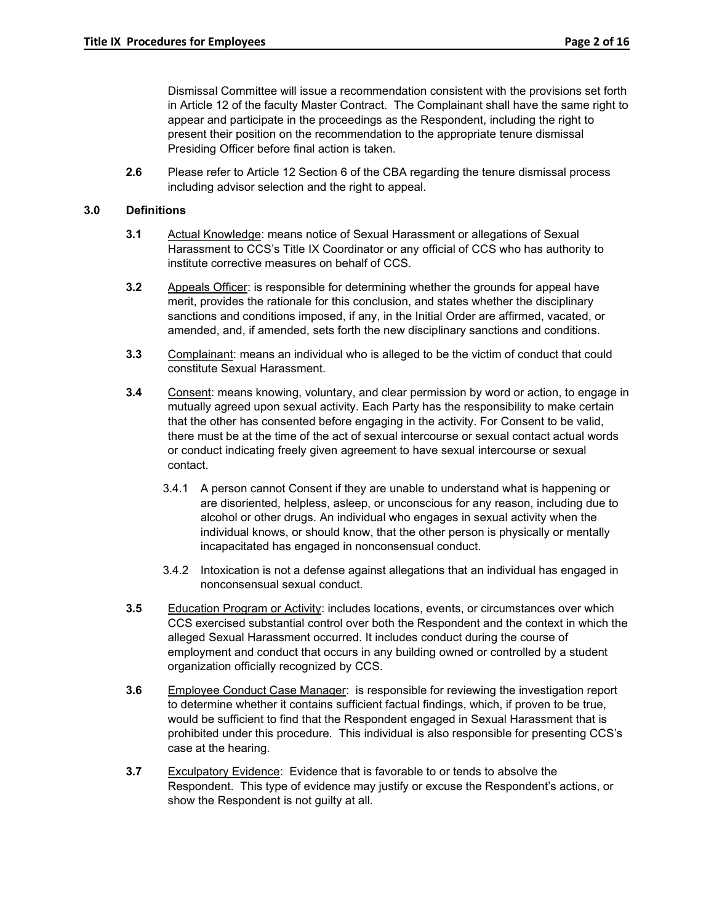Dismissal Committee will issue a recommendation consistent with the provisions set forth in Article 12 of the faculty Master Contract. The Complainant shall have the same right to appear and participate in the proceedings as the Respondent, including the right to present their position on the recommendation to the appropriate tenure dismissal Presiding Officer before final action is taken.

**2.6** Please refer to Article 12 Section 6 of the CBA regarding the tenure dismissal process including advisor selection and the right to appeal.

## **3.0 Definitions**

- **3.1** Actual Knowledge: means notice of Sexual Harassment or allegations of Sexual Harassment to CCS's Title IX Coordinator or any official of CCS who has authority to institute corrective measures on behalf of CCS.
- **3.2** Appeals Officer: is responsible for determining whether the grounds for appeal have merit, provides the rationale for this conclusion, and states whether the disciplinary sanctions and conditions imposed, if any, in the Initial Order are affirmed, vacated, or amended, and, if amended, sets forth the new disciplinary sanctions and conditions.
- **3.3** Complainant: means an individual who is alleged to be the victim of conduct that could constitute Sexual Harassment.
- **3.4** Consent: means knowing, voluntary, and clear permission by word or action, to engage in mutually agreed upon sexual activity. Each Party has the responsibility to make certain that the other has consented before engaging in the activity. For Consent to be valid, there must be at the time of the act of sexual intercourse or sexual contact actual words or conduct indicating freely given agreement to have sexual intercourse or sexual contact.
	- 3.4.1 A person cannot Consent if they are unable to understand what is happening or are disoriented, helpless, asleep, or unconscious for any reason, including due to alcohol or other drugs. An individual who engages in sexual activity when the individual knows, or should know, that the other person is physically or mentally incapacitated has engaged in nonconsensual conduct.
	- 3.4.2 Intoxication is not a defense against allegations that an individual has engaged in nonconsensual sexual conduct.
- **3.5** Education Program or Activity: includes locations, events, or circumstances over which CCS exercised substantial control over both the Respondent and the context in which the alleged Sexual Harassment occurred. It includes conduct during the course of employment and conduct that occurs in any building owned or controlled by a student organization officially recognized by CCS.
- **3.6** Employee Conduct Case Manager: is responsible for reviewing the investigation report to determine whether it contains sufficient factual findings, which, if proven to be true, would be sufficient to find that the Respondent engaged in Sexual Harassment that is prohibited under this procedure. This individual is also responsible for presenting CCS's case at the hearing.
- **3.7** Exculpatory Evidence: Evidence that is favorable to or tends to absolve the Respondent. This type of evidence may justify or excuse the Respondent's actions, or show the Respondent is not guilty at all.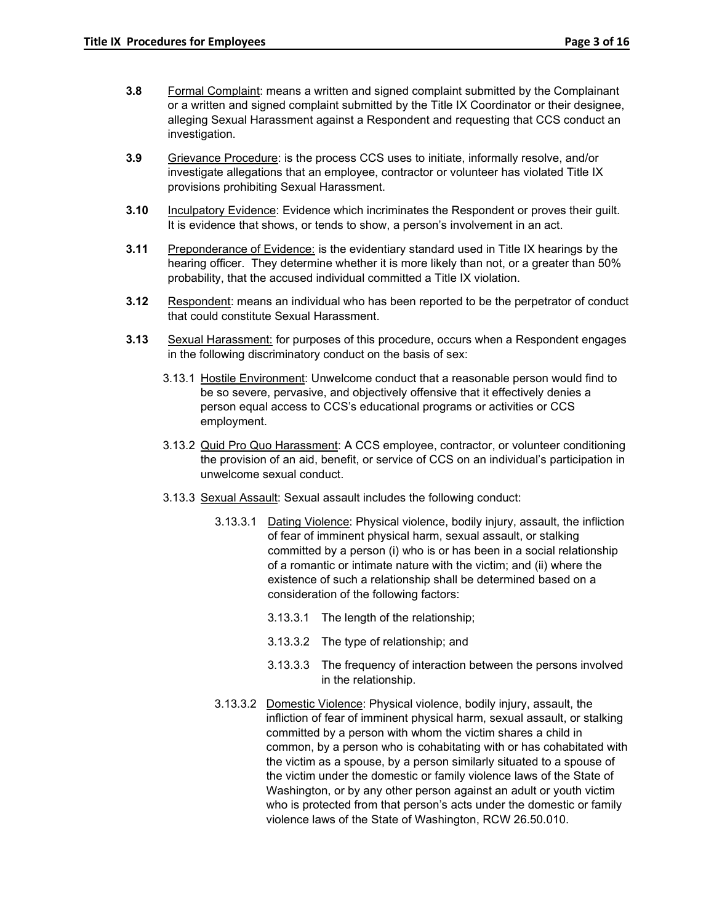- **3.8** Formal Complaint: means a written and signed complaint submitted by the Complainant or a written and signed complaint submitted by the Title IX Coordinator or their designee, alleging Sexual Harassment against a Respondent and requesting that CCS conduct an investigation.
- **3.9** Grievance Procedure: is the process CCS uses to initiate, informally resolve, and/or investigate allegations that an employee, contractor or volunteer has violated Title IX provisions prohibiting Sexual Harassment.
- **3.10** Inculpatory Evidence: Evidence which incriminates the Respondent or proves their guilt. It is evidence that shows, or tends to show, a person's involvement in an act.
- **3.11** Preponderance of Evidence: is the evidentiary standard used in Title IX hearings by the hearing officer. They determine whether it is more likely than not, or a greater than 50% probability, that the accused individual committed a Title IX violation.
- **3.12** Respondent: means an individual who has been reported to be the perpetrator of conduct that could constitute Sexual Harassment.
- **3.13** Sexual Harassment: for purposes of this procedure, occurs when a Respondent engages in the following discriminatory conduct on the basis of sex:
	- 3.13.1 Hostile Environment: Unwelcome conduct that a reasonable person would find to be so severe, pervasive, and objectively offensive that it effectively denies a person equal access to CCS's educational programs or activities or CCS employment.
	- 3.13.2 Quid Pro Quo Harassment: A CCS employee, contractor, or volunteer conditioning the provision of an aid, benefit, or service of CCS on an individual's participation in unwelcome sexual conduct.
	- 3.13.3 Sexual Assault: Sexual assault includes the following conduct:
		- 3.13.3.1 Dating Violence: Physical violence, bodily injury, assault, the infliction of fear of imminent physical harm, sexual assault, or stalking committed by a person (i) who is or has been in a social relationship of a romantic or intimate nature with the victim; and (ii) where the existence of such a relationship shall be determined based on a consideration of the following factors:
			- 3.13.3.1 The length of the relationship;
			- 3.13.3.2 The type of relationship; and
			- 3.13.3.3 The frequency of interaction between the persons involved in the relationship.
		- 3.13.3.2 Domestic Violence: Physical violence, bodily injury, assault, the infliction of fear of imminent physical harm, sexual assault, or stalking committed by a person with whom the victim shares a child in common, by a person who is cohabitating with or has cohabitated with the victim as a spouse, by a person similarly situated to a spouse of the victim under the domestic or family violence laws of the State of Washington, or by any other person against an adult or youth victim who is protected from that person's acts under the domestic or family violence laws of the State of Washington, RCW 26.50.010.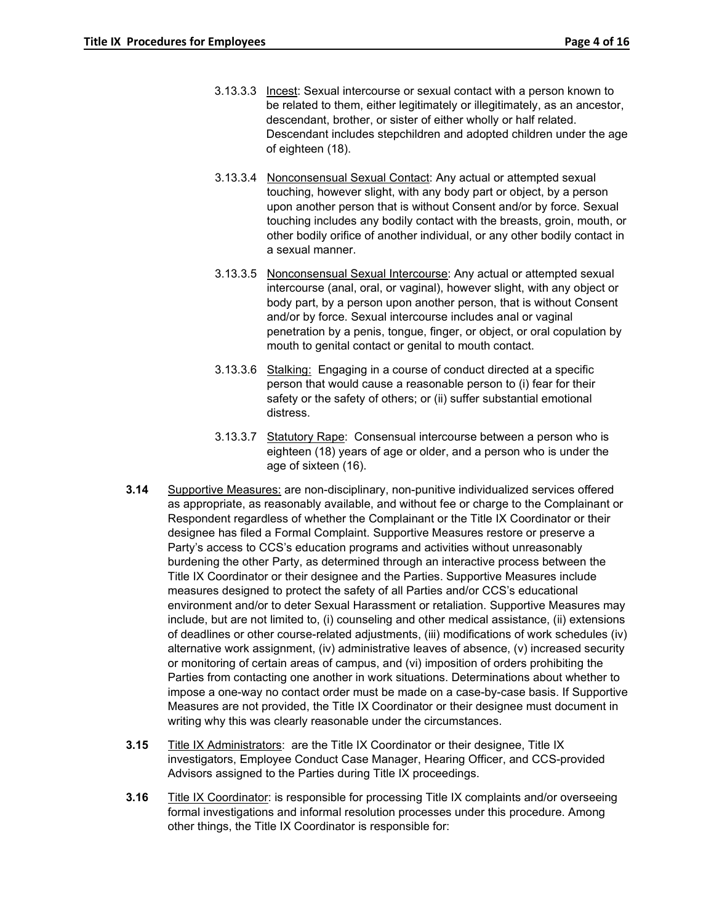- 3.13.3.3 Incest: Sexual intercourse or sexual contact with a person known to be related to them, either legitimately or illegitimately, as an ancestor, descendant, brother, or sister of either wholly or half related. Descendant includes stepchildren and adopted children under the age of eighteen (18).
- 3.13.3.4 Nonconsensual Sexual Contact: Any actual or attempted sexual touching, however slight, with any body part or object, by a person upon another person that is without Consent and/or by force. Sexual touching includes any bodily contact with the breasts, groin, mouth, or other bodily orifice of another individual, or any other bodily contact in a sexual manner.
- 3.13.3.5 Nonconsensual Sexual Intercourse: Any actual or attempted sexual intercourse (anal, oral, or vaginal), however slight, with any object or body part, by a person upon another person, that is without Consent and/or by force. Sexual intercourse includes anal or vaginal penetration by a penis, tongue, finger, or object, or oral copulation by mouth to genital contact or genital to mouth contact.
- 3.13.3.6 Stalking: Engaging in a course of conduct directed at a specific person that would cause a reasonable person to (i) fear for their safety or the safety of others; or (ii) suffer substantial emotional distress.
- 3.13.3.7 Statutory Rape: Consensual intercourse between a person who is eighteen (18) years of age or older, and a person who is under the age of sixteen (16).
- **3.14** Supportive Measures: are non-disciplinary, non-punitive individualized services offered as appropriate, as reasonably available, and without fee or charge to the Complainant or Respondent regardless of whether the Complainant or the Title IX Coordinator or their designee has filed a Formal Complaint. Supportive Measures restore or preserve a Party's access to CCS's education programs and activities without unreasonably burdening the other Party, as determined through an interactive process between the Title IX Coordinator or their designee and the Parties. Supportive Measures include measures designed to protect the safety of all Parties and/or CCS's educational environment and/or to deter Sexual Harassment or retaliation. Supportive Measures may include, but are not limited to, (i) counseling and other medical assistance, (ii) extensions of deadlines or other course-related adjustments, (iii) modifications of work schedules (iv) alternative work assignment, (iv) administrative leaves of absence, (v) increased security or monitoring of certain areas of campus, and (vi) imposition of orders prohibiting the Parties from contacting one another in work situations. Determinations about whether to impose a one-way no contact order must be made on a case-by-case basis. If Supportive Measures are not provided, the Title IX Coordinator or their designee must document in writing why this was clearly reasonable under the circumstances.
- **3.15** Title IX Administrators: are the Title IX Coordinator or their designee, Title IX investigators, Employee Conduct Case Manager, Hearing Officer, and CCS-provided Advisors assigned to the Parties during Title IX proceedings.
- **3.16** Title IX Coordinator: is responsible for processing Title IX complaints and/or overseeing formal investigations and informal resolution processes under this procedure. Among other things, the Title IX Coordinator is responsible for: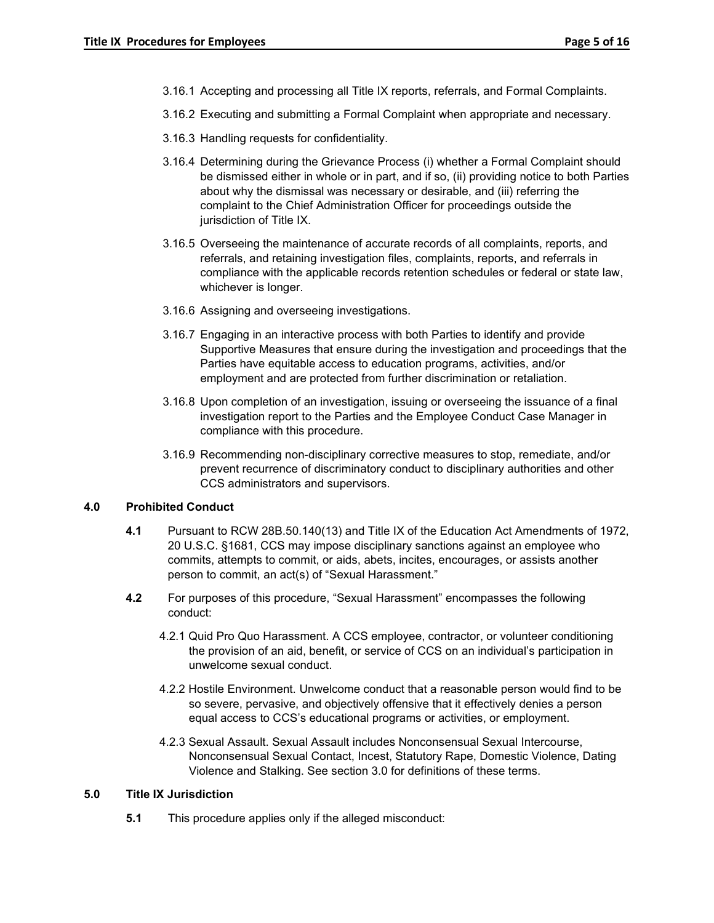- 3.16.1 Accepting and processing all Title IX reports, referrals, and Formal Complaints.
- 3.16.2 Executing and submitting a Formal Complaint when appropriate and necessary.
- 3.16.3 Handling requests for confidentiality.
- 3.16.4 Determining during the Grievance Process (i) whether a Formal Complaint should be dismissed either in whole or in part, and if so, (ii) providing notice to both Parties about why the dismissal was necessary or desirable, and (iii) referring the complaint to the Chief Administration Officer for proceedings outside the jurisdiction of Title IX.
- 3.16.5 Overseeing the maintenance of accurate records of all complaints, reports, and referrals, and retaining investigation files, complaints, reports, and referrals in compliance with the applicable records retention schedules or federal or state law, whichever is longer.
- 3.16.6 Assigning and overseeing investigations.
- 3.16.7 Engaging in an interactive process with both Parties to identify and provide Supportive Measures that ensure during the investigation and proceedings that the Parties have equitable access to education programs, activities, and/or employment and are protected from further discrimination or retaliation.
- 3.16.8 Upon completion of an investigation, issuing or overseeing the issuance of a final investigation report to the Parties and the Employee Conduct Case Manager in compliance with this procedure.
- 3.16.9 Recommending non-disciplinary corrective measures to stop, remediate, and/or prevent recurrence of discriminatory conduct to disciplinary authorities and other CCS administrators and supervisors.

# **4.0 Prohibited Conduct**

- **4.1** Pursuant to RCW 28B.50.140(13) and Title IX of the Education Act Amendments of 1972, 20 U.S.C. §1681, CCS may impose disciplinary sanctions against an employee who commits, attempts to commit, or aids, abets, incites, encourages, or assists another person to commit, an act(s) of "Sexual Harassment."
- **4.2** For purposes of this procedure, "Sexual Harassment" encompasses the following conduct:
	- 4.2.1 Quid Pro Quo Harassment. A CCS employee, contractor, or volunteer conditioning the provision of an aid, benefit, or service of CCS on an individual's participation in unwelcome sexual conduct.
	- 4.2.2 Hostile Environment. Unwelcome conduct that a reasonable person would find to be so severe, pervasive, and objectively offensive that it effectively denies a person equal access to CCS's educational programs or activities, or employment.
	- 4.2.3 Sexual Assault. Sexual Assault includes Nonconsensual Sexual Intercourse, Nonconsensual Sexual Contact, Incest, Statutory Rape, Domestic Violence, Dating Violence and Stalking. See section 3.0 for definitions of these terms.

## **5.0 Title IX Jurisdiction**

**5.1** This procedure applies only if the alleged misconduct: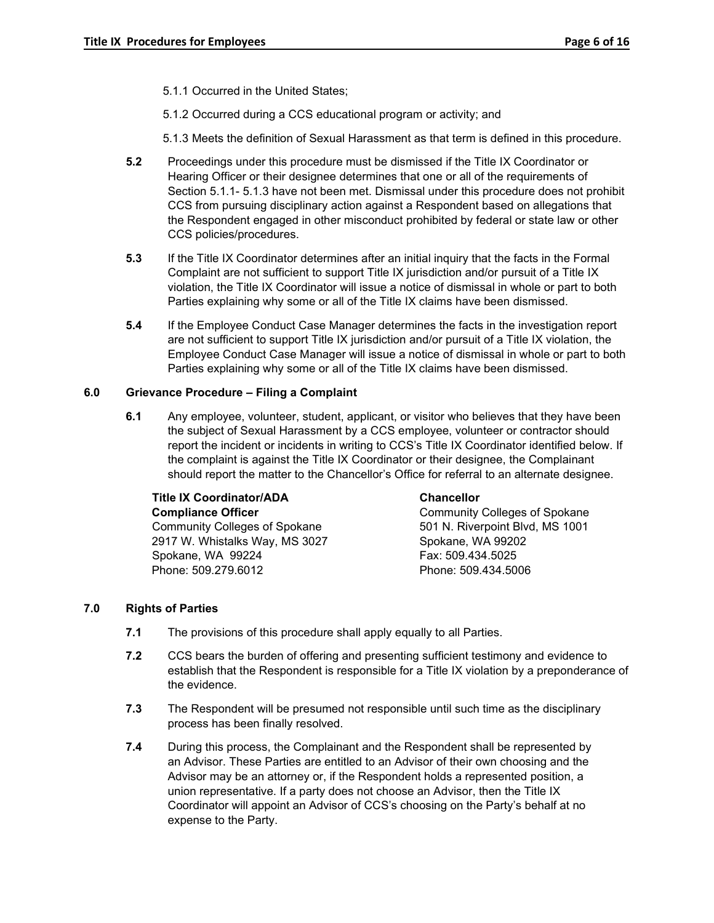- 5.1.1 Occurred in the United States;
- 5.1.2 Occurred during a CCS educational program or activity; and

5.1.3 Meets the definition of Sexual Harassment as that term is defined in this procedure.

- **5.2** Proceedings under this procedure must be dismissed if the Title IX Coordinator or Hearing Officer or their designee determines that one or all of the requirements of Section 5.1.1- 5.1.3 have not been met. Dismissal under this procedure does not prohibit CCS from pursuing disciplinary action against a Respondent based on allegations that the Respondent engaged in other misconduct prohibited by federal or state law or other CCS policies/procedures.
- **5.3** If the Title IX Coordinator determines after an initial inquiry that the facts in the Formal Complaint are not sufficient to support Title IX jurisdiction and/or pursuit of a Title IX violation, the Title IX Coordinator will issue a notice of dismissal in whole or part to both Parties explaining why some or all of the Title IX claims have been dismissed.
- **5.4** If the Employee Conduct Case Manager determines the facts in the investigation report are not sufficient to support Title IX jurisdiction and/or pursuit of a Title IX violation, the Employee Conduct Case Manager will issue a notice of dismissal in whole or part to both Parties explaining why some or all of the Title IX claims have been dismissed.

### **6.0 Grievance Procedure – Filing a Complaint**

**6.1** Any employee, volunteer, student, applicant, or visitor who believes that they have been the subject of Sexual Harassment by a CCS employee, volunteer or contractor should report the incident or incidents in writing to CCS's Title IX Coordinator identified below. If the complaint is against the Title IX Coordinator or their designee, the Complainant should report the matter to the Chancellor's Office for referral to an alternate designee.

| <b>Title IX Coordinator/ADA</b>      | <b>Chancellor</b>                    |
|--------------------------------------|--------------------------------------|
| <b>Compliance Officer</b>            | <b>Community Colleges of Spokane</b> |
| <b>Community Colleges of Spokane</b> | 501 N. Riverpoint Blvd, MS 1001      |
| 2917 W. Whistalks Way, MS 3027       | Spokane, WA 99202                    |
| Spokane, WA 99224                    | Fax: 509.434.5025                    |
| Phone: 509.279.6012                  | Phone: 509.434.5006                  |
|                                      |                                      |

## **7.0 Rights of Parties**

- **7.1** The provisions of this procedure shall apply equally to all Parties.
- **7.2** CCS bears the burden of offering and presenting sufficient testimony and evidence to establish that the Respondent is responsible for a Title IX violation by a preponderance of the evidence.
- **7.3** The Respondent will be presumed not responsible until such time as the disciplinary process has been finally resolved.
- **7.4** During this process, the Complainant and the Respondent shall be represented by an Advisor. These Parties are entitled to an Advisor of their own choosing and the Advisor may be an attorney or, if the Respondent holds a represented position, a union representative. If a party does not choose an Advisor, then the Title IX Coordinator will appoint an Advisor of CCS's choosing on the Party's behalf at no expense to the Party.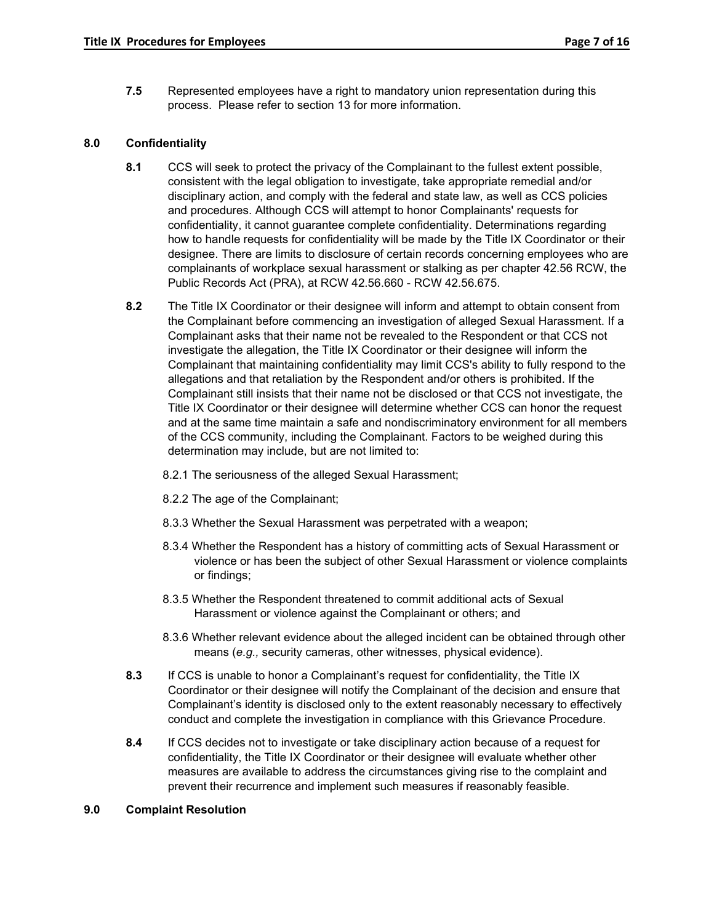**7.5** Represented employees have a right to mandatory union representation during this process. Please refer to section 13 for more information.

## **8.0 Confidentiality**

- **8.1** CCS will seek to protect the privacy of the Complainant to the fullest extent possible, consistent with the legal obligation to investigate, take appropriate remedial and/or disciplinary action, and comply with the federal and state law, as well as CCS policies and procedures. Although CCS will attempt to honor Complainants' requests for confidentiality, it cannot guarantee complete confidentiality. Determinations regarding how to handle requests for confidentiality will be made by the Title IX Coordinator or their designee. There are limits to disclosure of certain records concerning employees who are complainants of workplace sexual harassment or stalking as per chapter 42.56 RCW, the Public Records Act (PRA), at RCW 42.56.660 - RCW 42.56.675.
- **8.2** The Title IX Coordinator or their designee will inform and attempt to obtain consent from the Complainant before commencing an investigation of alleged Sexual Harassment. If a Complainant asks that their name not be revealed to the Respondent or that CCS not investigate the allegation, the Title IX Coordinator or their designee will inform the Complainant that maintaining confidentiality may limit CCS's ability to fully respond to the allegations and that retaliation by the Respondent and/or others is prohibited. If the Complainant still insists that their name not be disclosed or that CCS not investigate, the Title IX Coordinator or their designee will determine whether CCS can honor the request and at the same time maintain a safe and nondiscriminatory environment for all members of the CCS community, including the Complainant. Factors to be weighed during this determination may include, but are not limited to:
	- 8.2.1 The seriousness of the alleged Sexual Harassment;
	- 8.2.2 The age of the Complainant;
	- 8.3.3 Whether the Sexual Harassment was perpetrated with a weapon;
	- 8.3.4 Whether the Respondent has a history of committing acts of Sexual Harassment or violence or has been the subject of other Sexual Harassment or violence complaints or findings;
	- 8.3.5 Whether the Respondent threatened to commit additional acts of Sexual Harassment or violence against the Complainant or others; and
	- 8.3.6 Whether relevant evidence about the alleged incident can be obtained through other means (*e.g.,* security cameras, other witnesses, physical evidence).
- **8.3** If CCS is unable to honor a Complainant's request for confidentiality, the Title IX Coordinator or their designee will notify the Complainant of the decision and ensure that Complainant's identity is disclosed only to the extent reasonably necessary to effectively conduct and complete the investigation in compliance with this Grievance Procedure.
- **8.4** If CCS decides not to investigate or take disciplinary action because of a request for confidentiality, the Title IX Coordinator or their designee will evaluate whether other measures are available to address the circumstances giving rise to the complaint and prevent their recurrence and implement such measures if reasonably feasible.

#### **9.0 Complaint Resolution**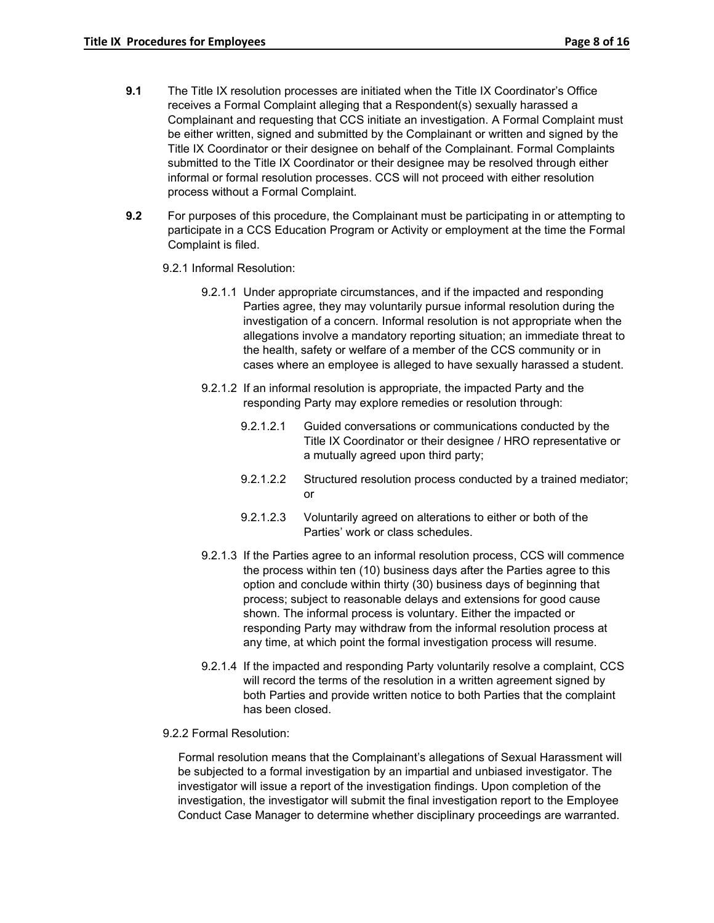- **9.1** The Title IX resolution processes are initiated when the Title IX Coordinator's Office receives a Formal Complaint alleging that a Respondent(s) sexually harassed a Complainant and requesting that CCS initiate an investigation. A Formal Complaint must be either written, signed and submitted by the Complainant or written and signed by the Title IX Coordinator or their designee on behalf of the Complainant. Formal Complaints submitted to the Title IX Coordinator or their designee may be resolved through either informal or formal resolution processes. CCS will not proceed with either resolution process without a Formal Complaint.
- **9.2** For purposes of this procedure, the Complainant must be participating in or attempting to participate in a CCS Education Program or Activity or employment at the time the Formal Complaint is filed.
	- 9.2.1 Informal Resolution:
		- 9.2.1.1 Under appropriate circumstances, and if the impacted and responding Parties agree, they may voluntarily pursue informal resolution during the investigation of a concern. Informal resolution is not appropriate when the allegations involve a mandatory reporting situation; an immediate threat to the health, safety or welfare of a member of the CCS community or in cases where an employee is alleged to have sexually harassed a student.
		- 9.2.1.2 If an informal resolution is appropriate, the impacted Party and the responding Party may explore remedies or resolution through:
			- 9.2.1.2.1 Guided conversations or communications conducted by the Title IX Coordinator or their designee / HRO representative or a mutually agreed upon third party;
			- 9.2.1.2.2 Structured resolution process conducted by a trained mediator; or
			- 9.2.1.2.3 Voluntarily agreed on alterations to either or both of the Parties' work or class schedules.
		- 9.2.1.3 If the Parties agree to an informal resolution process, CCS will commence the process within ten (10) business days after the Parties agree to this option and conclude within thirty (30) business days of beginning that process; subject to reasonable delays and extensions for good cause shown. The informal process is voluntary. Either the impacted or responding Party may withdraw from the informal resolution process at any time, at which point the formal investigation process will resume.
		- 9.2.1.4 If the impacted and responding Party voluntarily resolve a complaint, CCS will record the terms of the resolution in a written agreement signed by both Parties and provide written notice to both Parties that the complaint has been closed.
	- 9.2.2 Formal Resolution:

Formal resolution means that the Complainant's allegations of Sexual Harassment will be subjected to a formal investigation by an impartial and unbiased investigator. The investigator will issue a report of the investigation findings. Upon completion of the investigation, the investigator will submit the final investigation report to the Employee Conduct Case Manager to determine whether disciplinary proceedings are warranted.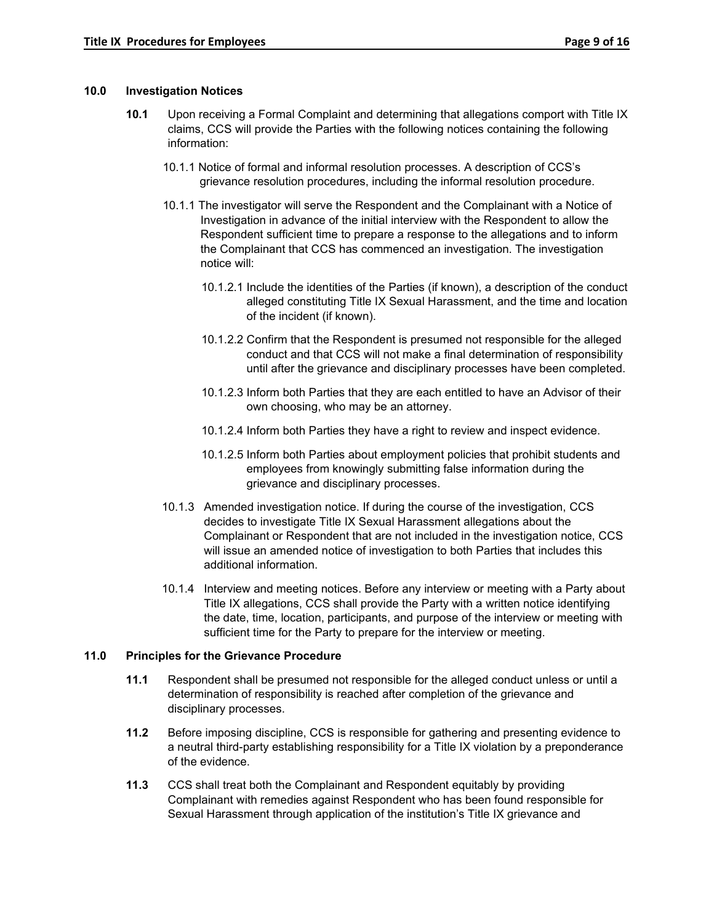### **10.0 Investigation Notices**

- **10.1** Upon receiving a Formal Complaint and determining that allegations comport with Title IX claims, CCS will provide the Parties with the following notices containing the following information:
	- 10.1.1 Notice of formal and informal resolution processes. A description of CCS's grievance resolution procedures, including the informal resolution procedure.
	- 10.1.1 The investigator will serve the Respondent and the Complainant with a Notice of Investigation in advance of the initial interview with the Respondent to allow the Respondent sufficient time to prepare a response to the allegations and to inform the Complainant that CCS has commenced an investigation. The investigation notice will:
		- 10.1.2.1 Include the identities of the Parties (if known), a description of the conduct alleged constituting Title IX Sexual Harassment, and the time and location of the incident (if known).
		- 10.1.2.2 Confirm that the Respondent is presumed not responsible for the alleged conduct and that CCS will not make a final determination of responsibility until after the grievance and disciplinary processes have been completed.
		- 10.1.2.3 Inform both Parties that they are each entitled to have an Advisor of their own choosing, who may be an attorney.
		- 10.1.2.4 Inform both Parties they have a right to review and inspect evidence.
		- 10.1.2.5 Inform both Parties about employment policies that prohibit students and employees from knowingly submitting false information during the grievance and disciplinary processes.
	- 10.1.3 Amended investigation notice. If during the course of the investigation, CCS decides to investigate Title IX Sexual Harassment allegations about the Complainant or Respondent that are not included in the investigation notice, CCS will issue an amended notice of investigation to both Parties that includes this additional information.
	- 10.1.4 Interview and meeting notices. Before any interview or meeting with a Party about Title IX allegations, CCS shall provide the Party with a written notice identifying the date, time, location, participants, and purpose of the interview or meeting with sufficient time for the Party to prepare for the interview or meeting.

# **11.0 Principles for the Grievance Procedure**

- **11.1** Respondent shall be presumed not responsible for the alleged conduct unless or until a determination of responsibility is reached after completion of the grievance and disciplinary processes.
- **11.2** Before imposing discipline, CCS is responsible for gathering and presenting evidence to a neutral third-party establishing responsibility for a Title IX violation by a preponderance of the evidence.
- **11.3** CCS shall treat both the Complainant and Respondent equitably by providing Complainant with remedies against Respondent who has been found responsible for Sexual Harassment through application of the institution's Title IX grievance and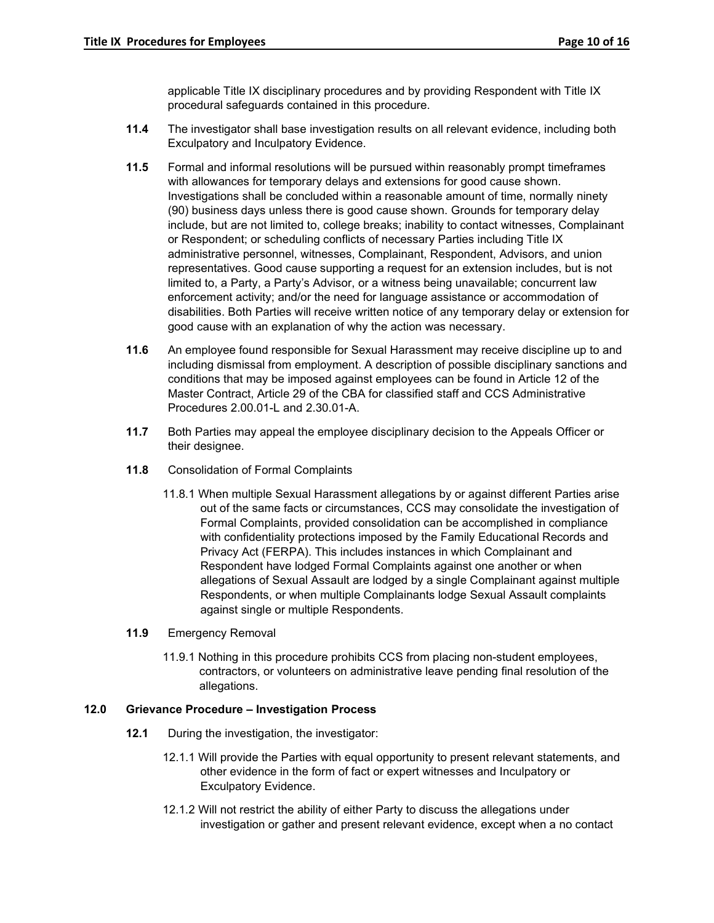applicable Title IX disciplinary procedures and by providing Respondent with Title IX procedural safeguards contained in this procedure.

- **11.4** The investigator shall base investigation results on all relevant evidence, including both Exculpatory and Inculpatory Evidence.
- **11.5** Formal and informal resolutions will be pursued within reasonably prompt timeframes with allowances for temporary delays and extensions for good cause shown. Investigations shall be concluded within a reasonable amount of time, normally ninety (90) business days unless there is good cause shown. Grounds for temporary delay include, but are not limited to, college breaks; inability to contact witnesses, Complainant or Respondent; or scheduling conflicts of necessary Parties including Title IX administrative personnel, witnesses, Complainant, Respondent, Advisors, and union representatives. Good cause supporting a request for an extension includes, but is not limited to, a Party, a Party's Advisor, or a witness being unavailable; concurrent law enforcement activity; and/or the need for language assistance or accommodation of disabilities. Both Parties will receive written notice of any temporary delay or extension for good cause with an explanation of why the action was necessary.
- **11.6** An employee found responsible for Sexual Harassment may receive discipline up to and including dismissal from employment. A description of possible disciplinary sanctions and conditions that may be imposed against employees can be found in Article 12 of the Master Contract, Article 29 of the CBA for classified staff and CCS Administrative Procedures 2.00.01-L and 2.30.01-A.
- **11.7** Both Parties may appeal the employee disciplinary decision to the Appeals Officer or their designee.
- **11.8** Consolidation of Formal Complaints
	- 11.8.1 When multiple Sexual Harassment allegations by or against different Parties arise out of the same facts or circumstances, CCS may consolidate the investigation of Formal Complaints, provided consolidation can be accomplished in compliance with confidentiality protections imposed by the Family Educational Records and Privacy Act (FERPA). This includes instances in which Complainant and Respondent have lodged Formal Complaints against one another or when allegations of Sexual Assault are lodged by a single Complainant against multiple Respondents, or when multiple Complainants lodge Sexual Assault complaints against single or multiple Respondents.
- **11.9** Emergency Removal
	- 11.9.1 Nothing in this procedure prohibits CCS from placing non-student employees, contractors, or volunteers on administrative leave pending final resolution of the allegations.

### **12.0 Grievance Procedure – Investigation Process**

- **12.1** During the investigation, the investigator:
	- 12.1.1 Will provide the Parties with equal opportunity to present relevant statements, and other evidence in the form of fact or expert witnesses and Inculpatory or Exculpatory Evidence.
	- 12.1.2 Will not restrict the ability of either Party to discuss the allegations under investigation or gather and present relevant evidence, except when a no contact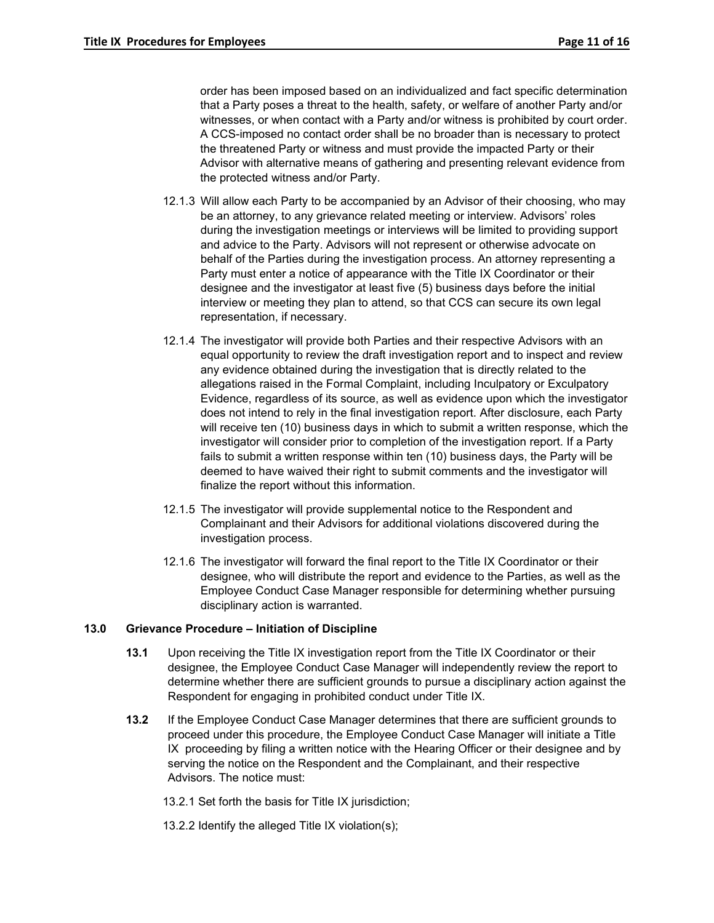order has been imposed based on an individualized and fact specific determination that a Party poses a threat to the health, safety, or welfare of another Party and/or witnesses, or when contact with a Party and/or witness is prohibited by court order. A CCS-imposed no contact order shall be no broader than is necessary to protect the threatened Party or witness and must provide the impacted Party or their Advisor with alternative means of gathering and presenting relevant evidence from the protected witness and/or Party.

- 12.1.3 Will allow each Party to be accompanied by an Advisor of their choosing, who may be an attorney, to any grievance related meeting or interview. Advisors' roles during the investigation meetings or interviews will be limited to providing support and advice to the Party. Advisors will not represent or otherwise advocate on behalf of the Parties during the investigation process. An attorney representing a Party must enter a notice of appearance with the Title IX Coordinator or their designee and the investigator at least five (5) business days before the initial interview or meeting they plan to attend, so that CCS can secure its own legal representation, if necessary.
- 12.1.4 The investigator will provide both Parties and their respective Advisors with an equal opportunity to review the draft investigation report and to inspect and review any evidence obtained during the investigation that is directly related to the allegations raised in the Formal Complaint, including Inculpatory or Exculpatory Evidence, regardless of its source, as well as evidence upon which the investigator does not intend to rely in the final investigation report. After disclosure, each Party will receive ten (10) business days in which to submit a written response, which the investigator will consider prior to completion of the investigation report. If a Party fails to submit a written response within ten (10) business days, the Party will be deemed to have waived their right to submit comments and the investigator will finalize the report without this information.
- 12.1.5 The investigator will provide supplemental notice to the Respondent and Complainant and their Advisors for additional violations discovered during the investigation process.
- 12.1.6 The investigator will forward the final report to the Title IX Coordinator or their designee, who will distribute the report and evidence to the Parties, as well as the Employee Conduct Case Manager responsible for determining whether pursuing disciplinary action is warranted.

### **13.0 Grievance Procedure – Initiation of Discipline**

- **13.1** Upon receiving the Title IX investigation report from the Title IX Coordinator or their designee, the Employee Conduct Case Manager will independently review the report to determine whether there are sufficient grounds to pursue a disciplinary action against the Respondent for engaging in prohibited conduct under Title IX.
- **13.2** If the Employee Conduct Case Manager determines that there are sufficient grounds to proceed under this procedure, the Employee Conduct Case Manager will initiate a Title IX proceeding by filing a written notice with the Hearing Officer or their designee and by serving the notice on the Respondent and the Complainant, and their respective Advisors. The notice must:
	- 13.2.1 Set forth the basis for Title IX jurisdiction;
	- 13.2.2 Identify the alleged Title IX violation(s);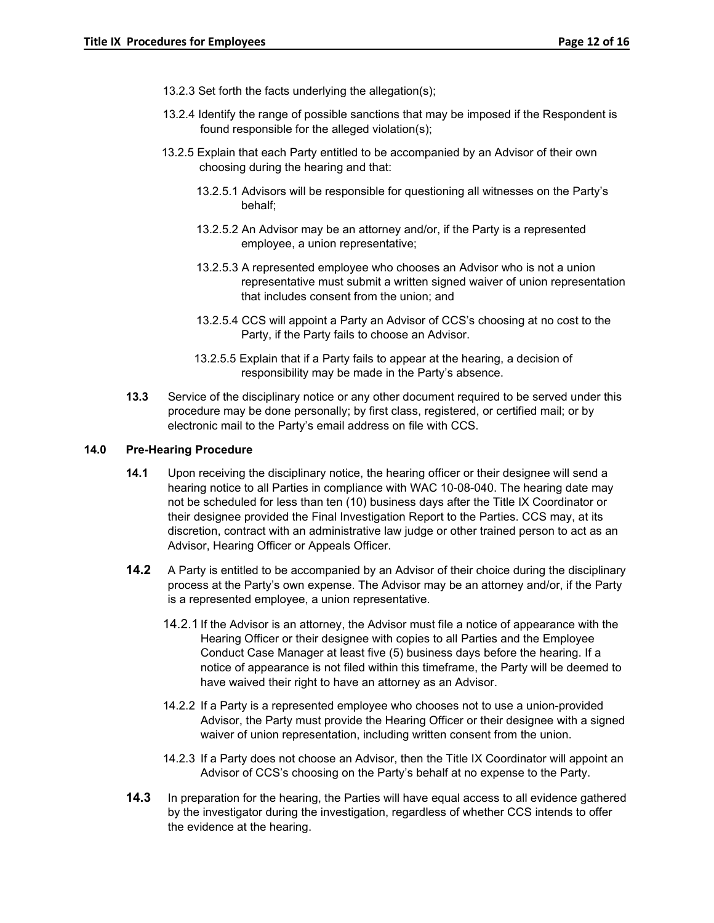- 13.2.3 Set forth the facts underlying the allegation(s);
- 13.2.4 Identify the range of possible sanctions that may be imposed if the Respondent is found responsible for the alleged violation(s);
- 13.2.5 Explain that each Party entitled to be accompanied by an Advisor of their own choosing during the hearing and that:
	- 13.2.5.1 Advisors will be responsible for questioning all witnesses on the Party's behalf;
	- 13.2.5.2 An Advisor may be an attorney and/or, if the Party is a represented employee, a union representative;
	- 13.2.5.3 A represented employee who chooses an Advisor who is not a union representative must submit a written signed waiver of union representation that includes consent from the union; and
	- 13.2.5.4 CCS will appoint a Party an Advisor of CCS's choosing at no cost to the Party, if the Party fails to choose an Advisor.
	- 13.2.5.5 Explain that if a Party fails to appear at the hearing, a decision of responsibility may be made in the Party's absence.
- **13.3** Service of the disciplinary notice or any other document required to be served under this procedure may be done personally; by first class, registered, or certified mail; or by electronic mail to the Party's email address on file with CCS.

#### **14.0 Pre-Hearing Procedure**

- **14.1** Upon receiving the disciplinary notice, the hearing officer or their designee will send a hearing notice to all Parties in compliance with WAC 10-08-040. The hearing date may not be scheduled for less than ten (10) business days after the Title IX Coordinator or their designee provided the Final Investigation Report to the Parties. CCS may, at its discretion, contract with an administrative law judge or other trained person to act as an Advisor, Hearing Officer or Appeals Officer.
- **14.2** A Party is entitled to be accompanied by an Advisor of their choice during the disciplinary process at the Party's own expense. The Advisor may be an attorney and/or, if the Party is a represented employee, a union representative.
	- 14.2.1 If the Advisor is an attorney, the Advisor must file a notice of appearance with the Hearing Officer or their designee with copies to all Parties and the Employee Conduct Case Manager at least five (5) business days before the hearing. If a notice of appearance is not filed within this timeframe, the Party will be deemed to have waived their right to have an attorney as an Advisor.
	- 14.2.2 If a Party is a represented employee who chooses not to use a union-provided Advisor, the Party must provide the Hearing Officer or their designee with a signed waiver of union representation, including written consent from the union.
	- 14.2.3 If a Party does not choose an Advisor, then the Title IX Coordinator will appoint an Advisor of CCS's choosing on the Party's behalf at no expense to the Party.
- **14.3** In preparation for the hearing, the Parties will have equal access to all evidence gathered by the investigator during the investigation, regardless of whether CCS intends to offer the evidence at the hearing.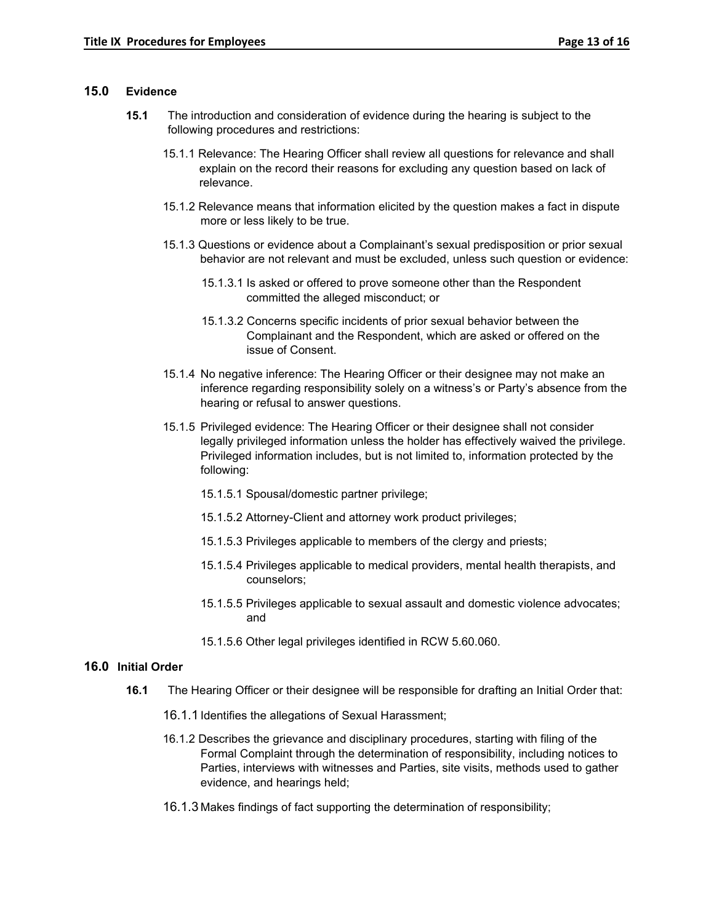#### **15.0 Evidence**

- **15.1** The introduction and consideration of evidence during the hearing is subject to the following procedures and restrictions:
	- 15.1.1 Relevance: The Hearing Officer shall review all questions for relevance and shall explain on the record their reasons for excluding any question based on lack of relevance.
	- 15.1.2 Relevance means that information elicited by the question makes a fact in dispute more or less likely to be true.
	- 15.1.3 Questions or evidence about a Complainant's sexual predisposition or prior sexual behavior are not relevant and must be excluded, unless such question or evidence:
		- 15.1.3.1 Is asked or offered to prove someone other than the Respondent committed the alleged misconduct; or
		- 15.1.3.2 Concerns specific incidents of prior sexual behavior between the Complainant and the Respondent, which are asked or offered on the issue of Consent.
	- 15.1.4 No negative inference: The Hearing Officer or their designee may not make an inference regarding responsibility solely on a witness's or Party's absence from the hearing or refusal to answer questions.
	- 15.1.5 Privileged evidence: The Hearing Officer or their designee shall not consider legally privileged information unless the holder has effectively waived the privilege. Privileged information includes, but is not limited to, information protected by the following:
		- 15.1.5.1 Spousal/domestic partner privilege;
		- 15.1.5.2 Attorney-Client and attorney work product privileges;
		- 15.1.5.3 Privileges applicable to members of the clergy and priests;
		- 15.1.5.4 Privileges applicable to medical providers, mental health therapists, and counselors;
		- 15.1.5.5 Privileges applicable to sexual assault and domestic violence advocates; and
		- 15.1.5.6 Other legal privileges identified in RCW 5.60.060.

## **16.0 Initial Order**

- **16.1** The Hearing Officer or their designee will be responsible for drafting an Initial Order that:
	- 16.1.1 Identifies the allegations of Sexual Harassment;
	- 16.1.2 Describes the grievance and disciplinary procedures, starting with filing of the Formal Complaint through the determination of responsibility, including notices to Parties, interviews with witnesses and Parties, site visits, methods used to gather evidence, and hearings held;
	- 16.1.3 Makes findings of fact supporting the determination of responsibility;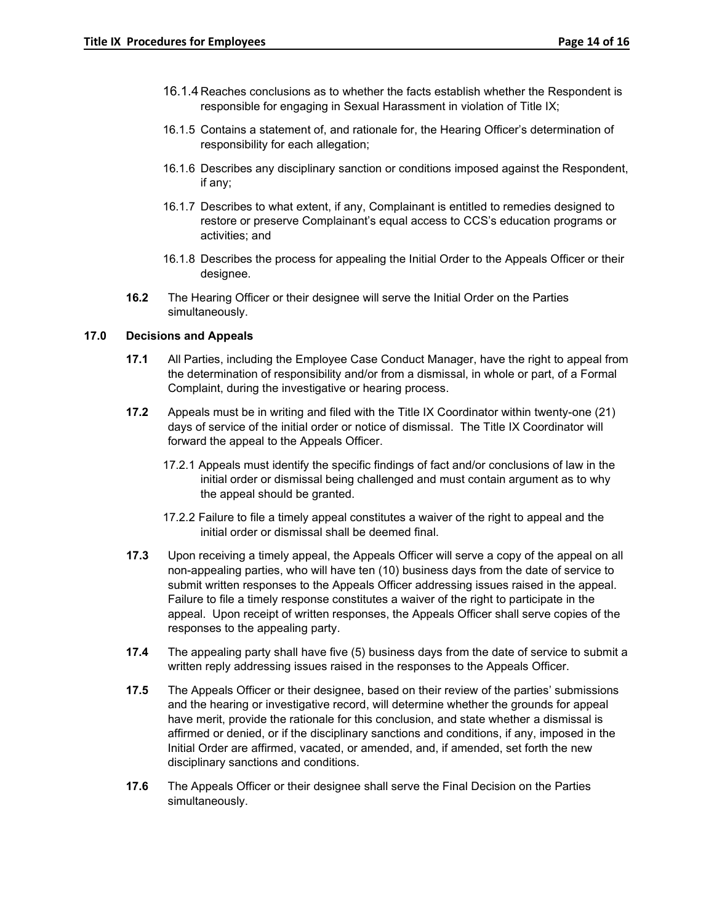- 16.1.4 Reaches conclusions as to whether the facts establish whether the Respondent is responsible for engaging in Sexual Harassment in violation of Title IX;
- 16.1.5 Contains a statement of, and rationale for, the Hearing Officer's determination of responsibility for each allegation;
- 16.1.6 Describes any disciplinary sanction or conditions imposed against the Respondent, if any;
- 16.1.7 Describes to what extent, if any, Complainant is entitled to remedies designed to restore or preserve Complainant's equal access to CCS's education programs or activities; and
- 16.1.8 Describes the process for appealing the Initial Order to the Appeals Officer or their designee.
- **16.2** The Hearing Officer or their designee will serve the Initial Order on the Parties simultaneously.

#### **17.0 Decisions and Appeals**

- **17.1** All Parties, including the Employee Case Conduct Manager, have the right to appeal from the determination of responsibility and/or from a dismissal, in whole or part, of a Formal Complaint, during the investigative or hearing process.
- **17.2** Appeals must be in writing and filed with the Title IX Coordinator within twenty-one (21) days of service of the initial order or notice of dismissal. The Title IX Coordinator will forward the appeal to the Appeals Officer.
	- 17.2.1 Appeals must identify the specific findings of fact and/or conclusions of law in the initial order or dismissal being challenged and must contain argument as to why the appeal should be granted.
	- 17.2.2 Failure to file a timely appeal constitutes a waiver of the right to appeal and the initial order or dismissal shall be deemed final.
- **17.3** Upon receiving a timely appeal, the Appeals Officer will serve a copy of the appeal on all non-appealing parties, who will have ten (10) business days from the date of service to submit written responses to the Appeals Officer addressing issues raised in the appeal. Failure to file a timely response constitutes a waiver of the right to participate in the appeal. Upon receipt of written responses, the Appeals Officer shall serve copies of the responses to the appealing party.
- **17.4** The appealing party shall have five (5) business days from the date of service to submit a written reply addressing issues raised in the responses to the Appeals Officer.
- **17.5** The Appeals Officer or their designee, based on their review of the parties' submissions and the hearing or investigative record, will determine whether the grounds for appeal have merit, provide the rationale for this conclusion, and state whether a dismissal is affirmed or denied, or if the disciplinary sanctions and conditions, if any, imposed in the Initial Order are affirmed, vacated, or amended, and, if amended, set forth the new disciplinary sanctions and conditions.
- **17.6** The Appeals Officer or their designee shall serve the Final Decision on the Parties simultaneously.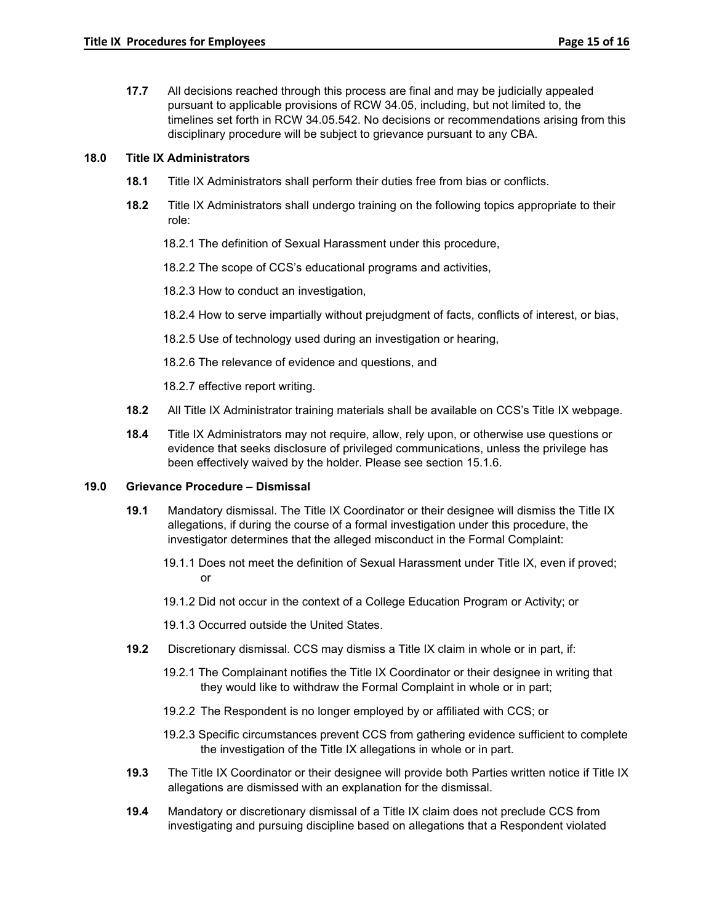**17.7** All decisions reached through this process are final and may be judicially appealed pursuant to applicable provisions of RCW 34.05, including, but not limited to, the timelines set forth in RCW 34.05.542. No decisions or recommendations arising from this disciplinary procedure will be subject to grievance pursuant to any CBA.

#### **18.0 Title IX Administrators**

- **18.1** Title IX Administrators shall perform their duties free from bias or conflicts.
- **18.2** Title IX Administrators shall undergo training on the following topics appropriate to their role:
	- 18.2.1 The definition of Sexual Harassment under this procedure,

18.2.2 The scope of CCS's educational programs and activities,

18.2.3 How to conduct an investigation,

- 18.2.4 How to serve impartially without prejudgment of facts, conflicts of interest, or bias,
- 18.2.5 Use of technology used during an investigation or hearing,
- 18.2.6 The relevance of evidence and questions, and

18.2.7 effective report writing.

- **18.2** All Title IX Administrator training materials shall be available on CCS's Title IX webpage.
- **18.4** Title IX Administrators may not require, allow, rely upon, or otherwise use questions or evidence that seeks disclosure of privileged communications, unless the privilege has been effectively waived by the holder. Please see section 15.1.6.

#### **19.0 Grievance Procedure – Dismissal**

- **19.1** Mandatory dismissal. The Title IX Coordinator or their designee will dismiss the Title IX allegations, if during the course of a formal investigation under this procedure, the investigator determines that the alleged misconduct in the Formal Complaint:
	- 19.1.1 Does not meet the definition of Sexual Harassment under Title IX, even if proved; or
	- 19.1.2 Did not occur in the context of a College Education Program or Activity; or

19.1.3 Occurred outside the United States.

- **19.2** Discretionary dismissal. CCS may dismiss a Title IX claim in whole or in part, if:
	- 19.2.1 The Complainant notifies the Title IX Coordinator or their designee in writing that they would like to withdraw the Formal Complaint in whole or in part;
	- 19.2.2 The Respondent is no longer employed by or affiliated with CCS; or
	- 19.2.3 Specific circumstances prevent CCS from gathering evidence sufficient to complete the investigation of the Title IX allegations in whole or in part.
- **19.3** The Title IX Coordinator or their designee will provide both Parties written notice if Title IX allegations are dismissed with an explanation for the dismissal.
- **19.4** Mandatory or discretionary dismissal of a Title IX claim does not preclude CCS from investigating and pursuing discipline based on allegations that a Respondent violated